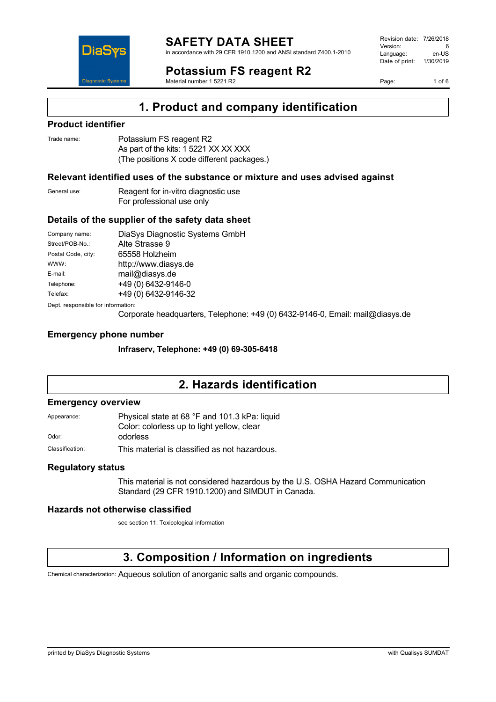

in accordance with 29 CFR 1910.1200 and ANSI standard Z400.1-2010

## **Potassium FS reagent R2**

Material number 1 5221 R2

Revision date: 7/26/2018 Version: 6<br>Language: en-LIS Language: Date of print: 1/30/2019

Page: 1 of 6



### **Product identifier**

DiaS

**Diagnostic Systen** 

| Trade name: | Potassium FS reagent R2                    |
|-------------|--------------------------------------------|
|             | As part of the kits: 1 5221 XX XX XXX      |
|             | (The positions X code different packages.) |

### **Relevant identified uses of the substance or mixture and uses advised against**

General use: Reagent for in-vitro diagnostic use For professional use only

#### **Details of the supplier of the safety data sheet**

| Company name:                      | DiaSys Diagnostic Systems GmbH |  |
|------------------------------------|--------------------------------|--|
| Street/POB-No.:                    | Alte Strasse 9                 |  |
| Postal Code, city:                 | 65558 Holzheim                 |  |
| WWW:                               | http://www.diasys.de           |  |
| E-mail:                            | mail@diasys.de                 |  |
| Telephone:                         | +49 (0) 6432-9146-0            |  |
| Telefax:                           | +49 (0) 6432-9146-32           |  |
| Dept. responsible for information: |                                |  |

Corporate headquarters, Telephone: +49 (0) 6432-9146-0, Email: mail@diasys.de

#### **Emergency phone number**

**Infraserv, Telephone: +49 (0) 69-305-6418**

### **2. Hazards identification**

#### **Emergency overview**

Appearance: Physical state at 68 °F and 101.3 kPa: liquid Color: colorless up to light yellow, clear

Odor: **odorless** 

Classification: This material is classified as not hazardous.

### **Regulatory status**

This material is not considered hazardous by the U.S. OSHA Hazard Communication Standard (29 CFR 1910.1200) and SIMDUT in Canada.

### **Hazards not otherwise classified**

see section 11: Toxicological information

## **3. Composition / Information on ingredients**

Chemical characterization: Aqueous solution of anorganic salts and organic compounds.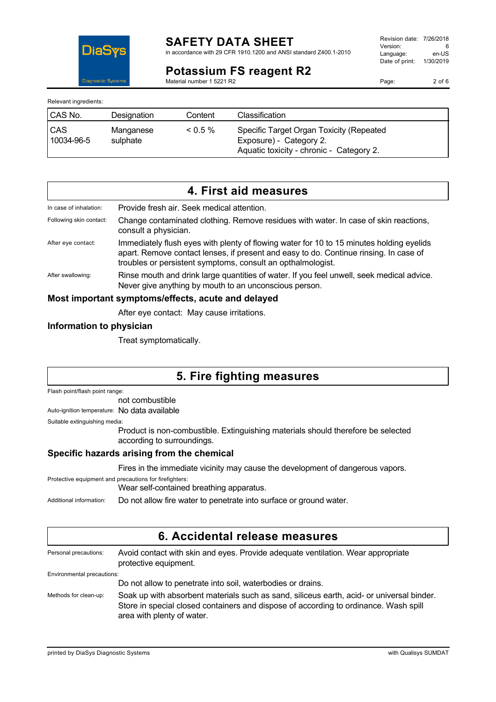

in accordance with 29 CFR 1910.1200 and ANSI standard Z400.1-2010

### **Potassium FS reagent R2**

Material number 1 5221 R2

Revision date: 7/26/2018 Version: 6<br>
Language: en-US Language: Date of print: 1/30/2019

Page: 2 of 6

Relevant ingredients:

Dia9

**Diagnostic Systen** 

| <b>CAS No.</b>           | Designation           | Content | Classification                                                                                                  |
|--------------------------|-----------------------|---------|-----------------------------------------------------------------------------------------------------------------|
| <b>CAS</b><br>10034-96-5 | Manganese<br>sulphate | $0.5\%$ | Specific Target Organ Toxicity (Repeated<br>Exposure) - Category 2.<br>Aquatic toxicity - chronic - Category 2. |

|                         | 4. First aid measures                                                                                                                                                                                                                            |
|-------------------------|--------------------------------------------------------------------------------------------------------------------------------------------------------------------------------------------------------------------------------------------------|
| In case of inhalation:  | Provide fresh air. Seek medical attention.                                                                                                                                                                                                       |
| Following skin contact: | Change contaminated clothing. Remove residues with water. In case of skin reactions,<br>consult a physician.                                                                                                                                     |
| After eye contact:      | Immediately flush eyes with plenty of flowing water for 10 to 15 minutes holding eyelids<br>apart. Remove contact lenses, if present and easy to do. Continue rinsing. In case of<br>troubles or persistent symptoms, consult an opthalmologist. |
| After swallowing:       | Rinse mouth and drink large quantities of water. If you feel unwell, seek medical advice.<br>Never give anything by mouth to an unconscious person.                                                                                              |
|                         | Most important symptoms/effects, acute and delayed                                                                                                                                                                                               |

After eye contact: May cause irritations.

### **Information to physician**

Treat symptomatically.

## **5. Fire fighting measures**

Flash point/flash point range:

not combustible

Auto-ignition temperature: No data available

Suitable extinguishing media:

Product is non-combustible. Extinguishing materials should therefore be selected according to surroundings.

### **Specific hazards arising from the chemical**

Fires in the immediate vicinity may cause the development of dangerous vapors.

Protective equipment and precautions for firefighters:

Wear self-contained breathing apparatus.

Additional information: Do not allow fire water to penetrate into surface or ground water.

| 6. Accidental release measures |                                                                                                                                                                                                                 |  |  |
|--------------------------------|-----------------------------------------------------------------------------------------------------------------------------------------------------------------------------------------------------------------|--|--|
| Personal precautions:          | Avoid contact with skin and eyes. Provide adequate ventilation. Wear appropriate<br>protective equipment.                                                                                                       |  |  |
| Environmental precautions:     |                                                                                                                                                                                                                 |  |  |
|                                | Do not allow to penetrate into soil, waterbodies or drains.                                                                                                                                                     |  |  |
| Methods for clean-up:          | Soak up with absorbent materials such as sand, siliceus earth, acid- or universal binder.<br>Store in special closed containers and dispose of according to ordinance. Wash spill<br>area with plenty of water. |  |  |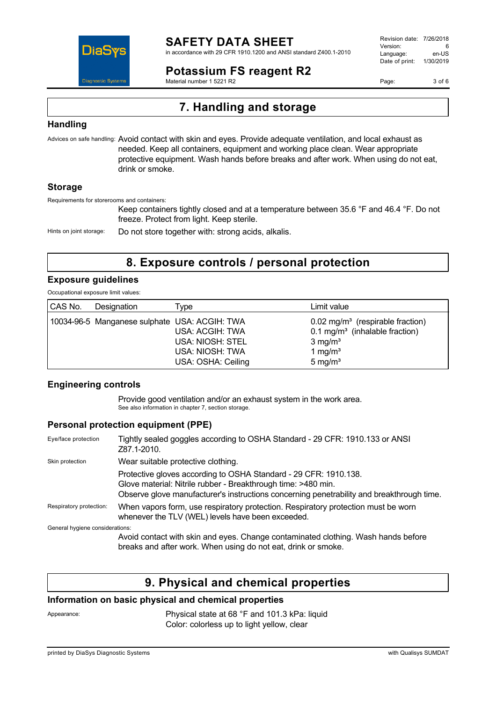

in accordance with 29 CFR 1910.1200 and ANSI standard Z400.1-2010

### **Potassium FS reagent R2**

Material number 1 5221 R2

Revision date: 7/26/2018 Version: 6<br>Language: en-LIS Language: Date of print: 1/30/2019

Page: 3 of 6

## **7. Handling and storage**

### **Handling**

Advices on safe handling: Avoid contact with skin and eyes. Provide adequate ventilation, and local exhaust as needed. Keep all containers, equipment and working place clean. Wear appropriate protective equipment. Wash hands before breaks and after work. When using do not eat, drink or smoke.

### **Storage**

Requirements for storerooms and containers:

Keep containers tightly closed and at a temperature between 35.6 °F and 46.4 °F. Do not freeze. Protect from light. Keep sterile.

Hints on joint storage: Do not store together with: strong acids, alkalis.

### **8. Exposure controls / personal protection**

### **Exposure guidelines**

Occupational exposure limit values:

| CAS No. | Designation                                   | Type :                                                                              | Limit value                                                                                                                                   |
|---------|-----------------------------------------------|-------------------------------------------------------------------------------------|-----------------------------------------------------------------------------------------------------------------------------------------------|
|         | 10034-96-5 Manganese sulphate USA: ACGIH: TWA | USA: ACGIH: TWA<br><b>USA: NIOSH: STEL</b><br>USA: NIOSH: TWA<br>USA: OSHA: Ceiling | $0.02$ mg/m <sup>3</sup> (respirable fraction)<br>$0.1 \text{ mg/m}^3$ (inhalable fraction)<br>$3 \text{ mg/m}^3$<br>1 mg/ $m3$<br>5 mg/ $m3$ |

### **Engineering controls**

Provide good ventilation and/or an exhaust system in the work area. See also information in chapter 7, section storage.

### **Personal protection equipment (PPE)**

| Eye/face protection             | Tightly sealed goggles according to OSHA Standard - 29 CFR: 1910.133 or ANSI<br>Z87.1-2010.                                                                                                                                    |
|---------------------------------|--------------------------------------------------------------------------------------------------------------------------------------------------------------------------------------------------------------------------------|
| Skin protection                 | Wear suitable protective clothing.                                                                                                                                                                                             |
|                                 | Protective gloves according to OSHA Standard - 29 CFR: 1910.138.<br>Glove material: Nitrile rubber - Breakthrough time: >480 min.<br>Observe glove manufacturer's instructions concerning penetrability and breakthrough time. |
| Respiratory protection:         | When vapors form, use respiratory protection. Respiratory protection must be worn<br>whenever the TLV (WEL) levels have been exceeded.                                                                                         |
| General hygiene considerations: |                                                                                                                                                                                                                                |
|                                 | Avoid contact with skin and eyes. Change contaminated clothing. Wash hands before<br>breaks and after work. When using do not eat, drink or smoke.                                                                             |

### **9. Physical and chemical properties**

### **Information on basic physical and chemical properties**

Appearance: Physical state at 68 °F and 101.3 kPa: liquid Color: colorless up to light yellow, clear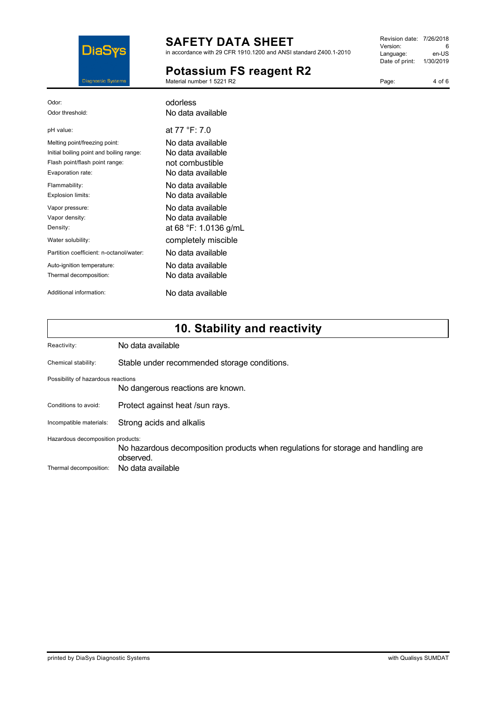

in accordance with 29 CFR 1910.1200 and ANSI standard Z400.1-2010

### **Potassium FS reagent R2**

Material number 1 5221 R2

| Revision date: 7/26/2018 |           |
|--------------------------|-----------|
| Version:                 | 6         |
| Language:                | en-US     |
| Date of print:           | 1/30/2019 |
|                          |           |

Page: 4 of 6

| Odor:                                    | odorless              |
|------------------------------------------|-----------------------|
| Odor threshold:                          | No data available     |
| pH value:                                | at 77 °F: 7.0         |
| Melting point/freezing point:            | No data available     |
| Initial boiling point and boiling range: | No data available     |
| Flash point/flash point range:           | not combustible       |
| Evaporation rate:                        | No data available     |
| Flammability:                            | No data available     |
| Explosion limits:                        | No data available     |
| Vapor pressure:                          | No data available     |
| Vapor density:                           | No data available     |
| Density:                                 | at 68 °F: 1.0136 g/mL |
| Water solubility:                        | completely miscible   |
| Partition coefficient: n-octanol/water:  | No data available     |
| Auto-ignition temperature:               | No data available     |
| Thermal decomposition:                   | No data available     |
| Additional information:                  | No data available     |
|                                          |                       |

# **10. Stability and reactivity**

| Reactivity:                        | No data available                                                                              |
|------------------------------------|------------------------------------------------------------------------------------------------|
| Chemical stability:                | Stable under recommended storage conditions.                                                   |
| Possibility of hazardous reactions | No dangerous reactions are known.                                                              |
| Conditions to avoid:               | Protect against heat /sun rays.                                                                |
| Incompatible materials:            | Strong acids and alkalis                                                                       |
| Hazardous decomposition products:  | No hazardous decomposition products when regulations for storage and handling are<br>observed. |
| Thermal decomposition:             | No data available                                                                              |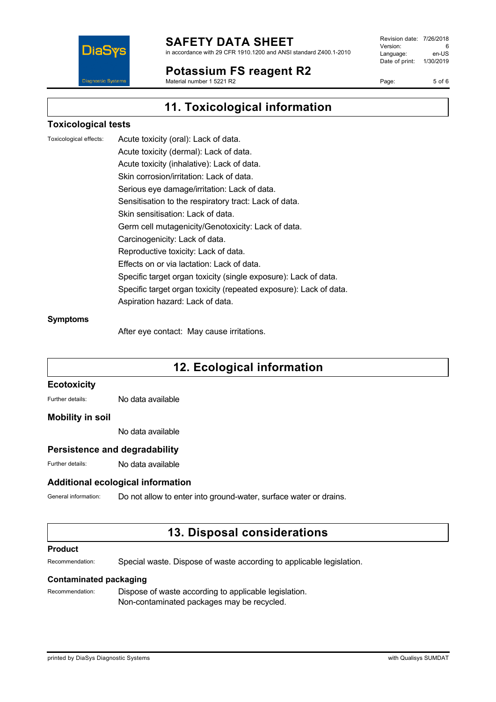

in accordance with 29 CFR 1910.1200 and ANSI standard Z400.1-2010

### **Potassium FS reagent R2**

Material number 1 5221 R2

Revision date: 7/26/2018 Version: 6<br>Language: en-LIS Language: Date of print: 1/30/2019

Page: 5 of 6

## **11. Toxicological information**

### **Toxicological tests**

Toxicological effects: Acute toxicity (oral): Lack of data. Acute toxicity (dermal): Lack of data. Acute toxicity (inhalative): Lack of data. Skin corrosion/irritation: Lack of data. Serious eye damage/irritation: Lack of data. Sensitisation to the respiratory tract: Lack of data. Skin sensitisation: Lack of data. Germ cell mutagenicity/Genotoxicity: Lack of data. Carcinogenicity: Lack of data. Reproductive toxicity: Lack of data. Effects on or via lactation: Lack of data. Specific target organ toxicity (single exposure): Lack of data. Specific target organ toxicity (repeated exposure): Lack of data. Aspiration hazard: Lack of data.

#### **Symptoms**

After eye contact: May cause irritations.

## **12. Ecological information**

#### **Ecotoxicity**

Further details: No data available

#### **Mobility in soil**

No data available

### **Persistence and degradability**

Further details: No data available

### **Additional ecological information**

General information: Do not allow to enter into ground-water, surface water or drains.

### **13. Disposal considerations**

#### **Product**

Recommendation: Special waste. Dispose of waste according to applicable legislation.

#### **Contaminated packaging**

Recommendation: Dispose of waste according to applicable legislation. Non-contaminated packages may be recycled.